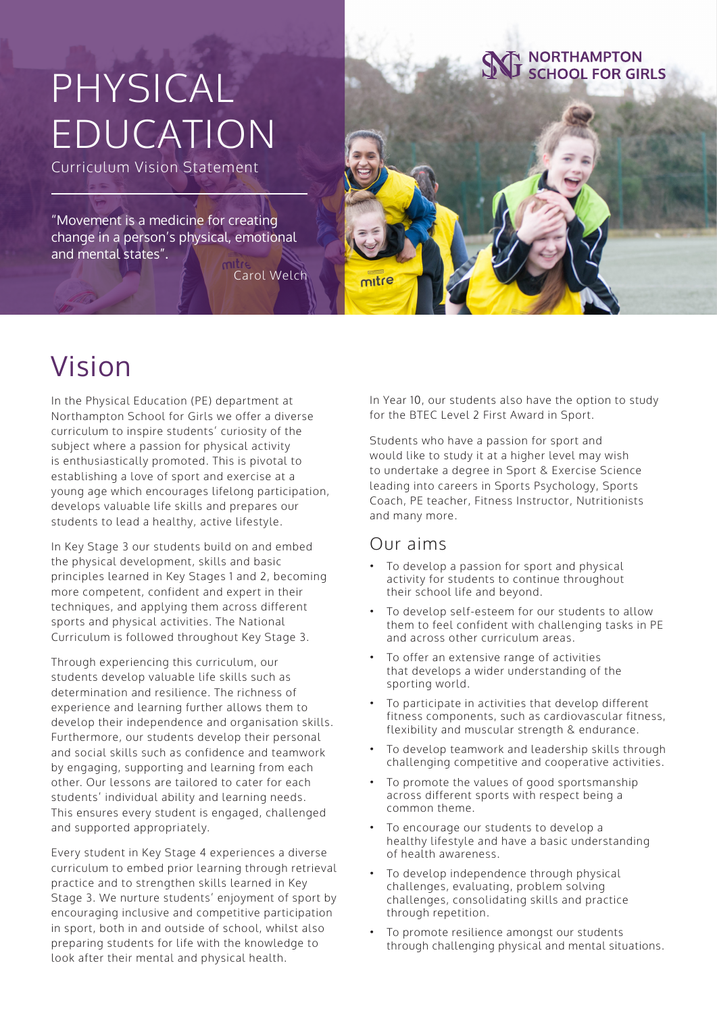# PHYSICAL EDUCATION

Curriculum Vision Statement

"Movement is a medicine for creating change in a person's physical, emotional and mental states".

Carol Welch



### Vision

In the Physical Education (PE) department at Northampton School for Girls we offer a diverse curriculum to inspire students' curiosity of the subject where a passion for physical activity is enthusiastically promoted. This is pivotal to establishing a love of sport and exercise at a young age which encourages lifelong participation, develops valuable life skills and prepares our students to lead a healthy, active lifestyle.

In Key Stage 3 our students build on and embed the physical development, skills and basic principles learned in Key Stages 1 and 2, becoming more competent, confident and expert in their techniques, and applying them across different sports and physical activities. The National Curriculum is followed throughout Key Stage 3.

Through experiencing this curriculum, our students develop valuable life skills such as determination and resilience. The richness of experience and learning further allows them to develop their independence and organisation skills. Furthermore, our students develop their personal and social skills such as confidence and teamwork by engaging, supporting and learning from each other. Our lessons are tailored to cater for each students' individual ability and learning needs. This ensures every student is engaged, challenged and supported appropriately.

Every student in Key Stage 4 experiences a diverse curriculum to embed prior learning through retrieval practice and to strengthen skills learned in Key Stage 3. We nurture students' enjoyment of sport by encouraging inclusive and competitive participation in sport, both in and outside of school, whilst also preparing students for life with the knowledge to look after their mental and physical health.

In Year 10, our students also have the option to study for the BTEC Level 2 First Award in Sport.

Students who have a passion for sport and would like to study it at a higher level may wish to undertake a degree in Sport & Exercise Science leading into careers in Sports Psychology, Sports Coach, PE teacher, Fitness Instructor, Nutritionists and many more.

#### Our aims

mitre

- To develop a passion for sport and physical activity for students to continue throughout their school life and beyond.
- To develop self-esteem for our students to allow them to feel confident with challenging tasks in PE and across other curriculum areas.
- To offer an extensive range of activities that develops a wider understanding of the sporting world.
- To participate in activities that develop different fitness components, such as cardiovascular fitness, flexibility and muscular strength & endurance.
- To develop teamwork and leadership skills through challenging competitive and cooperative activities.
- To promote the values of good sportsmanship across different sports with respect being a common theme.
- To encourage our students to develop a healthy lifestyle and have a basic understanding of health awareness.
- To develop independence through physical challenges, evaluating, problem solving challenges, consolidating skills and practice through repetition.
- To promote resilience amongst our students through challenging physical and mental situations.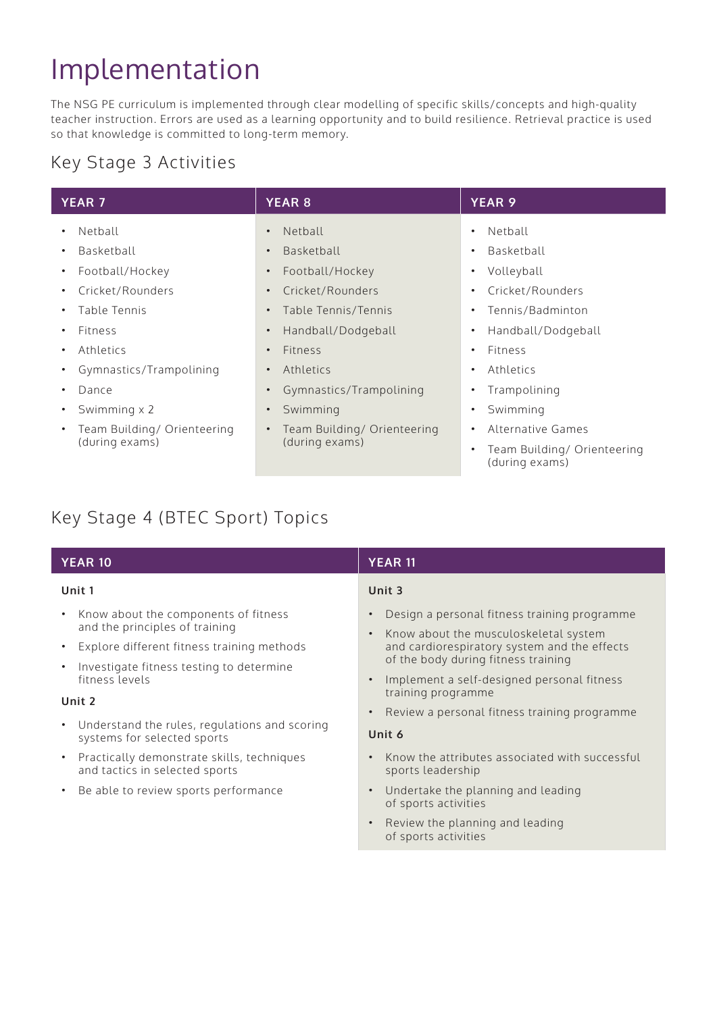### Implementation

The NSG PE curriculum is implemented through clear modelling of specific skills/concepts and high-quality teacher instruction. Errors are used as a learning opportunity and to build resilience. Retrieval practice is used so that knowledge is committed to long-term memory.

#### Key Stage 3 Activities

| <b>YEAR 7</b>                                              | <b>YEAR 8</b>                                              | <b>YEAR 9</b>                                      |
|------------------------------------------------------------|------------------------------------------------------------|----------------------------------------------------|
| Netball<br>$\bullet$                                       | Netball<br>$\bullet$                                       | Netball<br>٠                                       |
| Basketball<br>$\bullet$                                    | Basketball<br>$\bullet$                                    | Basketball<br>٠                                    |
| Football/Hockey<br>$\bullet$                               | Football/Hockey<br>$\bullet$                               | Volleyball<br>٠                                    |
| Cricket/Rounders                                           | Cricket/Rounders<br>$\bullet$                              | Cricket/Rounders<br>٠                              |
| Table Tennis                                               | Table Tennis/Tennis<br>$\bullet$                           | Tennis/Badminton<br>٠                              |
| <b>Fitness</b>                                             | Handball/Dodgeball<br>$\bullet$                            | Handball/Dodgeball<br>٠                            |
| Athletics                                                  | <b>Fitness</b><br>$\bullet$                                | Fitness<br>٠                                       |
| Gymnastics/Trampolining                                    | Athletics<br>$\bullet$                                     | Athletics<br>٠                                     |
| Dance                                                      | Gymnastics/Trampolining<br>$\bullet$                       | Trampolining<br>٠                                  |
| Swimming x 2                                               | Swimming<br>$\bullet$                                      | Swimming<br>٠                                      |
| Team Building/ Orienteering<br>$\bullet$<br>(during exams) | Team Building/ Orienteering<br>$\bullet$<br>(during exams) | Alternative Games<br>٠                             |
|                                                            |                                                            | Team Building/ Orienteering<br>٠<br>(during exams) |

### Key Stage 4 (BTEC Sport) Topics

| <b>YEAR 10</b>                                                                                                                                                                                                            | <b>YEAR 11</b>                                                                                                                                                                                                             |  |
|---------------------------------------------------------------------------------------------------------------------------------------------------------------------------------------------------------------------------|----------------------------------------------------------------------------------------------------------------------------------------------------------------------------------------------------------------------------|--|
| Unit 1                                                                                                                                                                                                                    | Unit 3                                                                                                                                                                                                                     |  |
| Know about the components of fitness<br>$\bullet$<br>and the principles of training<br>Explore different fitness training methods<br>$\bullet$<br>Investigate fitness testing to determine<br>$\bullet$<br>fitness levels | Design a personal fitness training programme<br>Know about the musculoskeletal system<br>and cardiorespiratory system and the effects<br>of the body during fitness training<br>Implement a self-designed personal fitness |  |
| Unit 2                                                                                                                                                                                                                    | training programme                                                                                                                                                                                                         |  |
| Understand the rules, regulations and scoring<br>$\bullet$<br>systems for selected sports                                                                                                                                 | Review a personal fitness training programme<br>Unit 6                                                                                                                                                                     |  |
| Practically demonstrate skills, techniques<br>$\bullet$<br>and tactics in selected sports                                                                                                                                 | Know the attributes associated with successful<br>sports leadership                                                                                                                                                        |  |
| Be able to review sports performance<br>$\bullet$                                                                                                                                                                         | Undertake the planning and leading<br>of sports activities                                                                                                                                                                 |  |
|                                                                                                                                                                                                                           | Review the planning and leading<br>of sports activities                                                                                                                                                                    |  |